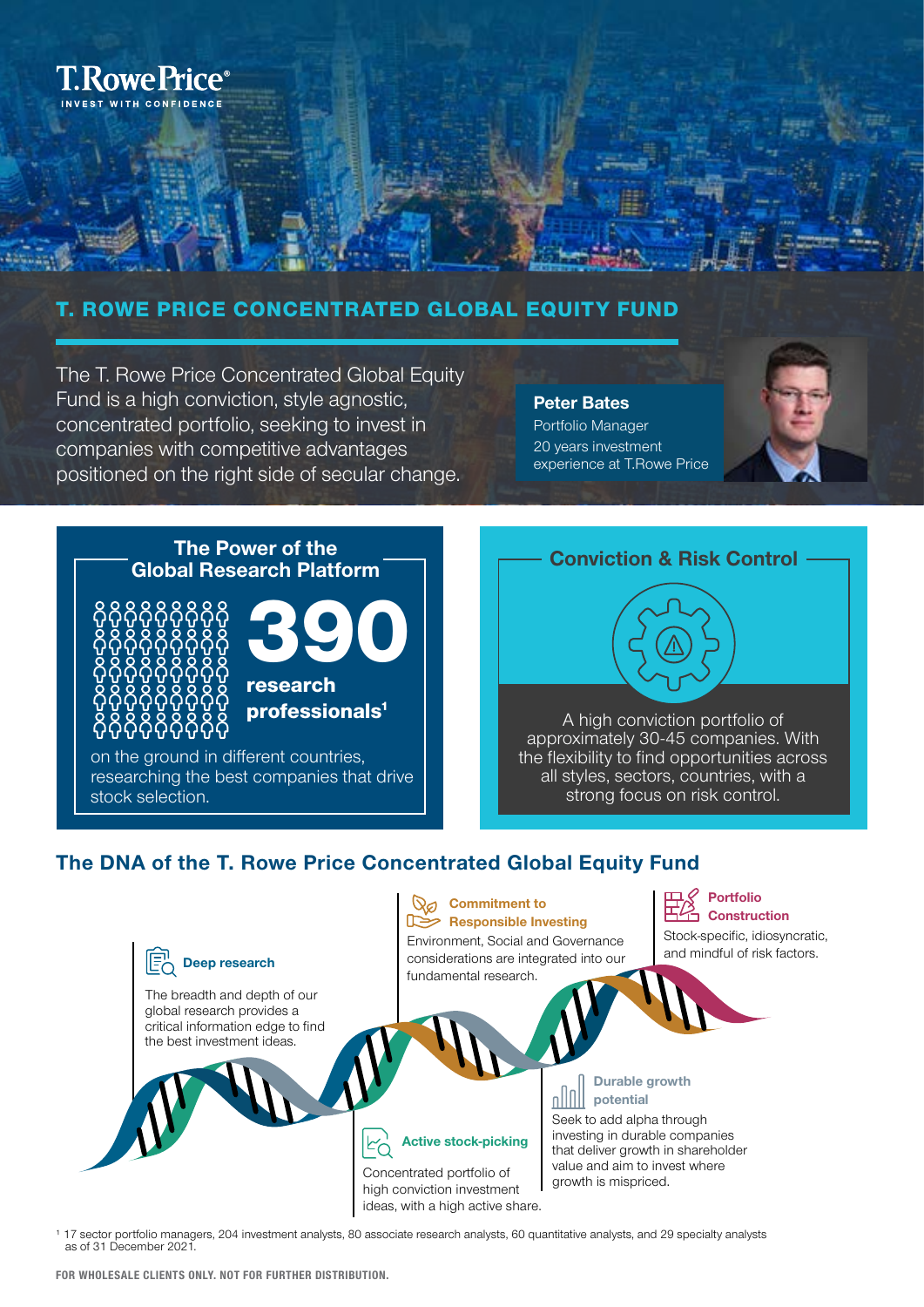

# T. ROWE PRICE CONCENTRATED GLOBAL EQUITY FUND

The T. Rowe Price Concentrated Global Equity Fund is a high conviction, style agnostic, concentrated portfolio, seeking to invest in companies with competitive advantages positioned on the right side of secular change.

Peter Bates Portfolio Manager 20 years investment experience at T.Rowe Price

## The Power of the Global Research Platform



390 research professionals<sup>1</sup>

on the ground in different countries, researching the best companies that drive stock selection.

## Conviction & Risk Control

#### A high conviction portfolio of approximately 30-45 companies. With the flexibility to find opportunities across all styles, sectors, countries, with a strong focus on risk control.

# The DNA of the T. Rowe Price Concentrated Global Equity Fund



<sup>1</sup> 17 sector portfolio managers, 204 investment analysts, 80 associate research analysts, 60 quantitative analysts, and 29 specialty analysts as of 31 December 2021.